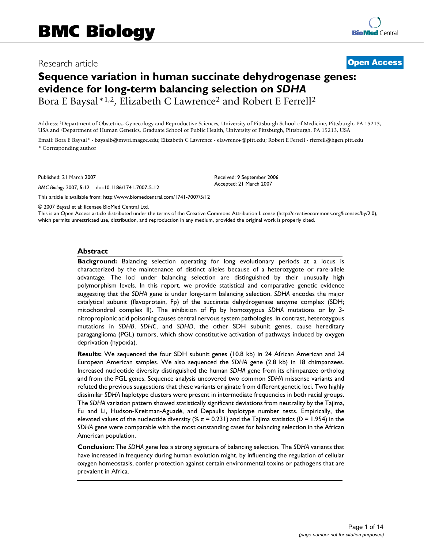# Research article **[Open Access](http://www.biomedcentral.com/info/about/charter/)**

# **Sequence variation in human succinate dehydrogenase genes: evidence for long-term balancing selection on** *SDHA* Bora E Baysal\*<sup>1,2</sup>, Elizabeth C Lawrence<sup>2</sup> and Robert E Ferrell<sup>2</sup>

Address: 1Department of Obstetrics, Gynecology and Reproductive Sciences, University of Pittsburgh School of Medicine, Pittsburgh, PA 15213, USA and 2Department of Human Genetics, Graduate School of Public Health, University of Pittsburgh, Pittsburgh, PA 15213, USA

Email: Bora E Baysal\* - baysalb@mwri.magee.edu; Elizabeth C Lawrence - elawrenc+@pitt.edu; Robert E Ferrell - rferrell@hgen.pitt.edu \* Corresponding author

Published: 21 March 2007

*BMC Biology* 2007, **5**:12 doi:10.1186/1741-7007-5-12

[This article is available from: http://www.biomedcentral.com/1741-7007/5/12](http://www.biomedcentral.com/1741-7007/5/12)

© 2007 Baysal et al; licensee BioMed Central Ltd.

This is an Open Access article distributed under the terms of the Creative Commons Attribution License [\(http://creativecommons.org/licenses/by/2.0\)](http://creativecommons.org/licenses/by/2.0), which permits unrestricted use, distribution, and reproduction in any medium, provided the original work is properly cited.

Received: 9 September 2006 Accepted: 21 March 2007

### **Abstract**

**Background:** Balancing selection operating for long evolutionary periods at a locus is characterized by the maintenance of distinct alleles because of a heterozygote or rare-allele advantage. The loci under balancing selection are distinguished by their unusually high polymorphism levels. In this report, we provide statistical and comparative genetic evidence suggesting that the *SDHA* gene is under long-term balancing selection. *SDHA* encodes the major catalytical subunit (flavoprotein, Fp) of the succinate dehydrogenase enzyme complex (SDH; mitochondrial complex II). The inhibition of Fp by homozygous *SDHA* mutations or by 3 nitropropionic acid poisoning causes central nervous system pathologies. In contrast, heterozygous mutations in *SDHB*, *SDHC*, and *SDHD*, the other SDH subunit genes, cause hereditary paraganglioma (PGL) tumors, which show constitutive activation of pathways induced by oxygen deprivation (hypoxia).

**Results:** We sequenced the four SDH subunit genes (10.8 kb) in 24 African American and 24 European American samples. We also sequenced the *SDHA* gene (2.8 kb) in 18 chimpanzees. Increased nucleotide diversity distinguished the human *SDHA* gene from its chimpanzee ortholog and from the PGL genes. Sequence analysis uncovered two common *SDHA* missense variants and refuted the previous suggestions that these variants originate from different genetic loci. Two highly dissimilar *SDHA* haplotype clusters were present in intermediate frequencies in both racial groups. The *SDHA* variation pattern showed statistically significant deviations from neutrality by the Tajima, Fu and Li, Hudson-Kreitman-Aguadé, and Depaulis haplotype number tests. Empirically, the elevated values of the nucleotide diversity (% π = 0.231) and the Tajima statistics (*D* = 1.954) in the *SDHA* gene were comparable with the most outstanding cases for balancing selection in the African American population.

**Conclusion:** The *SDHA* gene has a strong signature of balancing selection. The *SDHA* variants that have increased in frequency during human evolution might, by influencing the regulation of cellular oxygen homeostasis, confer protection against certain environmental toxins or pathogens that are prevalent in Africa.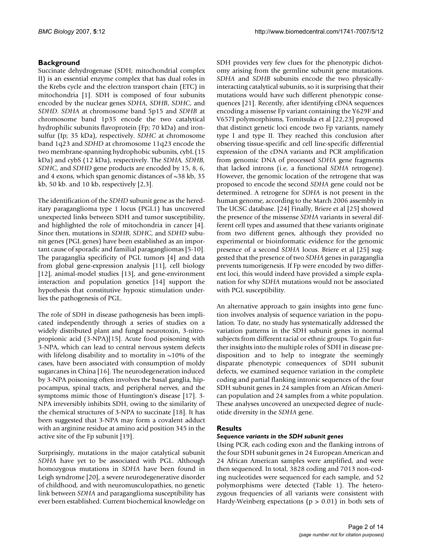# **Background**

Succinate dehydrogenase (SDH; mitochondrial complex II) is an essential enzyme complex that has dual roles in the Krebs cycle and the electron transport chain (ETC) in mitochondria [1]. SDH is composed of four subunits encoded by the nuclear genes *SDHA*, *SDHB*, *SDHC*, and *SDHD*. *SDHA* at chromosome band 5p15 and *SDHB* at chromosome band 1p35 encode the two catalytical hydrophilic subunits flavoprotein (Fp; 70 kDa) and ironsulfur (Ip; 35 kDa), respectively. *SDHC* at chromosome band 1q23 and *SDHD* at chromosome 11q23 encode the two membrane-spanning hydrophobic subunits, cybL (15 kDa) and cybS (12 kDa), respectively. The *SDHA, SDHB, SDHC*, and *SDHD* gene products are encoded by 15, 8, 6, and 4 exons, which span genomic distances of ~38 kb, 35 kb, 50 kb. and 10 kb, respectively [2,3].

The identification of the *SDHD* subunit gene as the hereditary paraganglioma type 1 locus (PGL1) has uncovered unexpected links between SDH and tumor susceptibility, and highlighted the role of mitochondria in cancer [4]. Since then, mutations in *SDHB*, *SDHC*, and *SDHD* subunit genes (PGL genes) have been established as an important cause of sporadic and familial paragangliomas [5-10]. The paraganglia specificity of PGL tumors [4] and data from global gene-expression analysis [11], cell biology [12], animal-model studies [13], and gene-environment interaction and population genetics [14] support the hypothesis that constitutive hypoxic stimulation underlies the pathogenesis of PGL.

The role of SDH in disease pathogenesis has been implicated independently through a series of studies on a widely distributed plant and fungal neurotoxin, 3-nitropropionic acid (3-NPA)[15]. Acute food poisoning with 3-NPA, which can lead to central nervous system defects with lifelong disability and to mortality in  $\sim$ 10% of the cases, have been associated with consumption of moldy sugarcanes in China [16]. The neurodegeneration induced by 3-NPA poisoning often involves the basal ganglia, hippocampus, spinal tracts, and peripheral nerves, and the symptoms mimic those of Huntington's disease [17]. 3- NPA irreversibly inhibits SDH, owing to the similarity of the chemical structures of 3-NPA to succinate [18]. It has been suggested that 3-NPA may form a covalent adduct with an arginine residue at amino acid position 345 in the active site of the Fp subunit [19].

Surprisingly, mutations in the major catalytical subunit *SDHA* have yet to be associated with PGL. Although homozygous mutations in *SDHA* have been found in Leigh syndrome [20], a severe neurodegenerative disorder of childhood, and with neuromusculopathies, no genetic link between *SDHA* and paraganglioma susceptibility has ever been established. Current biochemical knowledge on

SDH provides very few clues for the phenotypic dichotomy arising from the germline subunit gene mutations. *SDHA* and *SDHB* subunits encode the two physicallyinteracting catalytical subunits, so it is surprising that their mutations would have such different phenotypic consequences [21]. Recently, after identifying cDNA sequences encoding a missense Fp variant containing the Y629F and V657I polymorphisms, Tomitsuka et al [22,23] proposed that distinct genetic loci encode two Fp variants, namely type I and type II. They reached this conclusion after observing tissue-specific and cell line-specific differential expression of the cDNA variants and PCR amplification from genomic DNA of processed *SDHA* gene fragments that lacked introns (i.e, a functional *SDHA* retrogene). However, the genomic location of the retrogene that was proposed to encode the second *SDHA* gene could not be determined. A retrogene for *SDHA* is not present in the human genome, according to the March 2006 assembly in The UCSC database. [24] Finally, Briere et al [25] showed the presence of the missense *SDHA* variants in several different cell types and assumed that these variants originate from two different genes, although they provided no experimental or bioinformatic evidence for the genomic presence of a second *SDHA* locus. Briere et al [25] suggested that the presence of two *SDHA* genes in paraganglia prevents tumorigenesis. If Fp were encoded by two different loci, this would indeed have provided a simple explanation for why *SDHA* mutations would not be associated with PGL susceptibility.

An alternative approach to gain insights into gene function involves analysis of sequence variation in the population. To date, no study has systematically addressed the variation patterns in the SDH subunit genes in normal subjects from different racial or ethnic groups. To gain further insights into the multiple roles of SDH in disease predisposition and to help to integrate the seemingly disparate phenotypic consequences of SDH subunit defects, we examined sequence variation in the complete coding and partial flanking intronic sequences of the four SDH subunit genes in 24 samples from an African American population and 24 samples from a white population. These analyses uncovered an unexpected degree of nucleotide diversity in the *SDHA* gene.

## **Results**

## *Sequence variants in the SDH subunit genes*

Using PCR, each coding exon and the flanking introns of the four SDH subunit genes in 24 European American and 24 African American samples were amplified, and were then sequenced. In total, 3828 coding and 7013 non-coding nucleotides were sequenced for each sample, and 52 polymorphisms were detected (Table 1). The heterozygous frequencies of all variants were consistent with Hardy-Weinberg expectations ( $p > 0.01$ ) in both sets of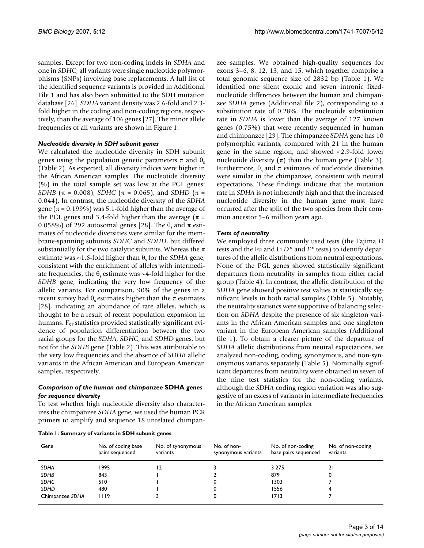samples. Except for two non-coding indels in *SDHA* and one in *SDHC*, all variants were single nucleotide polymorphisms (SNPs) involving base replacements. A full list of the identified sequence variants is provided in Additional File 1 and has also been submitted to the SDH mutation database [26]. *SDHA* variant density was 2.6-fold and 2.3 fold higher in the coding and non-coding regions, respectively, than the average of 106 genes [27]. The minor allele frequencies of all variants are shown in Figure 1.

# *Nucleotide diversity in SDH subunit genes*

We calculated the nucleotide diversity in SDH subunit genes using the population genetic parameters  $\pi$  and  $\theta$ . (Table 2). As expected, all diversity indices were higher in the African American samples. The nucleotide diversity (%) in the total sample set was low at the PGL genes: *SDHB*  $(\pi = 0.008)$ , *SDHC*  $(\pi = 0.065)$ , and *SDHD*  $(\pi = 0.008)$ 0.044). In contrast, the nucleotide diversity of the *SDHA* gene ( $\pi$  = 0.199%) was 5.1-fold higher than the average of the PGL genes and 3.4-fold higher than the average ( $\pi$  = 0.058%) of 292 autosomal genes [28]. The  $\theta_{\rm s}$  and  $\pi$  estimates of nucleotide diversities were similar for the membrane-spanning subunits *SDHC* and *SDHD*, but differed substantially for the two catalytic subunits. Whereas the  $\pi$ estimate was  $\sim$ 1.6-fold higher than  $\theta_s$  for the *SDHA* gene, consistent with the enrichment of alleles with intermediate frequencies, the  $\theta_s$  estimate was ~4-fold higher for the *SDHB* gene, indicating the very low frequency of the allelic variants. For comparison, 90% of the genes in a recent survey had  $\theta_{s}$  estimates higher than the  $\pi$  estimates [28], indicating an abundance of rare alleles, which is thought to be a result of recent population expansion in humans.  $F_{ST}$  statistics provided statistically significant evidence of population differentiation between the two racial groups for the *SDHA*, *SDHC*, and *SDHD* genes, but not for the *SDHB* gene (Table 2). This was attributable to the very low frequencies and the absence of *SDHB* allelic variants in the African American and European American samples, respectively.

# *Comparison of the human and chimpanzee* **SDHA** *genes for sequence diversity*

To test whether high nucleotide diversity also characterizes the chimpanzee *SDHA* gene, we used the human PCR primers to amplify and sequence 18 unrelated chimpanzee samples. We obtained high-quality sequences for exons 3–6, 8, 12, 13, and 15, which together comprise a total genomic sequence size of 2832 bp (Table 1). We identified one silent exonic and seven intronic fixednucleotide differences between the human and chimpanzee *SDHA* genes (Additional file 2), corresponding to a substitution rate of 0.28%. The nucleotide substitution rate in *SDHA* is lower than the average of 127 known genes (0.75%) that were recently sequenced in human and chimpanzee [29]. The chimpanzee *SDHA* gene has 10 polymorphic variants, compared with 21 in the human gene in the same region, and showed  $\sim$ 2.9-fold lower nucleotide diversity  $(\pi)$  than the human gene (Table 3). Furthermore,  $\theta_{s}$  and  $\pi$  estimates of nucleotide diversities were similar in the chimpanzee, consistent with neutral expectations. These findings indicate that the mutation rate in *SDHA* is not inherently high and that the increased nucleotide diversity in the human gene must have occurred after the split of the two species from their common ancestor 5–6 million years ago.

# *Tests of neutrality*

We employed three commonly used tests (the Tajima *D* tests and the Fu and Li *D\** and *F\** tests) to identify departures of the allelic distributions from neutral expectations. None of the PGL genes showed statistically significant departures from neutrality in samples from either racial group (Table 4). In contrast, the allelic distribution of the *SDHA* gene showed positive test values at statistically significant levels in both racial samples (Table 5). Notably, the neutrality statistics were supportive of balancing selection on *SDHA* despite the presence of six singleton variants in the African American samples and one singleton variant in the European American samples (Additional file 1). To obtain a clearer picture of the departure of *SDHA* allelic distributions from neutral expectations, we analyzed non-coding, coding, synonymous, and non-synonymous variants separately (Table 5). Nominally significant departures from neutrality were obtained in seven of the nine test statistics for the non-coding variants, although the *SDHA* coding region variation was also suggestive of an excess of variants in intermediate frequencies in the African American samples.

| Gene            | No. of coding base<br>pairs sequenced | No. of synonymous<br>variants | No. of non-<br>synonymous variants | No. of non-coding<br>base pairs sequenced | No. of non-coding<br>variants |
|-----------------|---------------------------------------|-------------------------------|------------------------------------|-------------------------------------------|-------------------------------|
| <b>SDHA</b>     | 1995                                  |                               |                                    | 3 2 7 5                                   | 21                            |
| <b>SDHB</b>     | 843                                   |                               |                                    | 879                                       |                               |
| <b>SDHC</b>     | 510                                   |                               | 0                                  | 1303                                      |                               |
| <b>SDHD</b>     | 480                                   |                               | 0                                  | 1556                                      |                               |
| Chimpanzee SDHA | 1119                                  |                               | 0                                  | 1713                                      |                               |

**Table 1: Summary of variants in SDH subunit genes**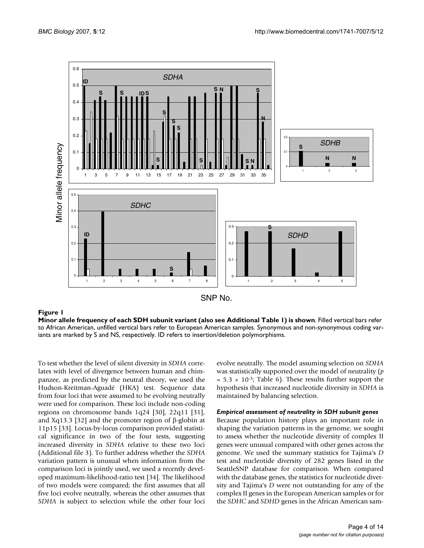

## Minor allele frequency of each **Figure 1** SDH subunit variant (also see Additional Table 1) is shown

**Minor allele frequency of each SDH subunit variant (also see Additional Table 1) is shown**. Filled vertical bars refer to African American, unfilled vertical bars refer to European American samples. Synonymous and non-synonymous coding variants are marked by S and NS, respectively. ID refers to insertion/deletion polymorphisms.

To test whether the level of silent diversity in *SDHA* correlates with level of divergence between human and chimpanzee, as predicted by the neutral theory, we used the Hudson-Kreitman-Aguadé (HKA) test. Sequence data from four loci that were assumed to be evolving neutrally were used for comparison. These loci include non-coding regions on chromosome bands 1q24 [30], 22q11 [31], and Xq13.3 [32] and the promoter region of β-globin at 11p15 [33]. Locus-by-locus comparison provided statistical significance in two of the four tests, suggesting increased diversity in *SDHA* relative to these two loci (Additional file 3). To further address whether the *SDHA* variation pattern is unusual when information from the comparison loci is jointly used, we used a recently developed maximum-likelihood-ratio test [34]. The likelihood of two models were compared; the first assumes that all five loci evolve neutrally, whereas the other assumes that *SDHA* is subject to selection while the other four loci

evolve neutrally. The model assuming selection on *SDHA* was statistically supported over the model of neutrality (*p*  $= 5.3 \times 10^{-3}$ ; Table 6). These results further support the hypothesis that increased nucleotide diversity in *SDHA* is maintained by balancing selection.

### *Empirical assessment of neutrality in SDH subunit genes*

Because population history plays an important role in shaping the variation patterns in the genome, we sought to assess whether the nucleotide diversity of complex II genes were unusual compared with other genes across the genome. We used the summary statistics for Tajima's *D* test and nucleotide diversity of 282 genes listed in the SeattleSNP database for comparison. When compared with the database genes, the statistics for nucleotide diversity and Tajima's *D* were not outstanding for any of the complex II genes in the European American samples or for the *SDHC* and *SDHD* genes in the African American sam-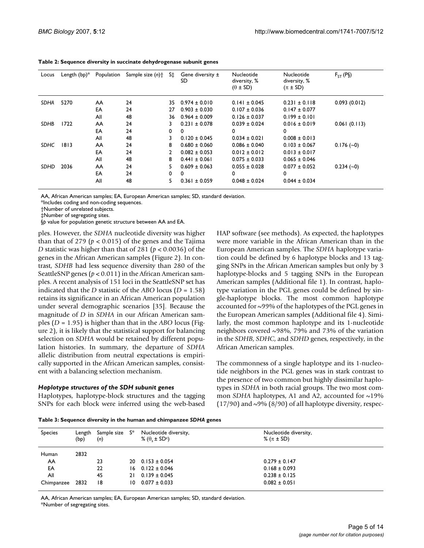| Locus       | Length $(bp)^*$ | Population | Sample size $(n)$ <sup>+</sup> | St | Gene diversity ±<br>SD | Nucleotide<br>diversity, %<br>$(\theta \pm SD)$ | Nucleotide<br>diversity, %<br>$(\pi \pm SD)$ | $F_{ST}$ (P§) |
|-------------|-----------------|------------|--------------------------------|----|------------------------|-------------------------------------------------|----------------------------------------------|---------------|
|             |                 |            |                                |    |                        |                                                 |                                              |               |
| <b>SDHA</b> | 5270            | AA         | 24                             | 35 | $0.974 \pm 0.010$      | $0.141 \pm 0.045$                               | $0.231 \pm 0.118$                            | 0.093(0.012)  |
|             |                 | EA         | 24                             | 27 | $0.903 \pm 0.030$      | $0.107 \pm 0.036$                               | $0.147 \pm 0.077$                            |               |
|             |                 | All        | 48                             | 36 | $0.964 \pm 0.009$      | $0.126 \pm 0.037$                               | $0.199 \pm 0.101$                            |               |
| <b>SDHB</b> | 1722            | AA         | 24                             | 3  | $0.231 \pm 0.078$      | $0.039 \pm 0.024$                               | $0.016 \pm 0.019$                            | 0.061(0.113)  |
|             |                 | EA         | 24                             | 0  | 0                      | 0                                               | 0                                            |               |
|             |                 | All        | 48                             | 3  | $0.120 \pm 0.045$      | $0.034 \pm 0.021$                               | $0.008 \pm 0.013$                            |               |
| SDHC        | 1813            | AA         | 24                             | 8  | $0.680 \pm 0.060$      | $0.086 \pm 0.040$                               | $0.103 \pm 0.067$                            | $0.176(-0)$   |
|             |                 | EA         | 24                             | 2  | $0.082 \pm 0.053$      | $0.012 \pm 0.012$                               | $0.013 \pm 0.017$                            |               |
|             |                 | All        | 48                             | 8  | $0.441 \pm 0.061$      | $0.075 \pm 0.033$                               | $0.065 \pm 0.046$                            |               |
| SDHD        | 2036            | AA         | 24                             | 5  | $0.609 \pm 0.063$      | $0.055 \pm 0.028$                               | $0.077 \pm 0.052$                            | $0.234(-0)$   |
|             |                 | EA         | 24                             | 0  | 0                      | 0                                               | 0                                            |               |
|             |                 | All        | 48                             | 5  | $0.361 \pm 0.059$      | $0.048 \pm 0.024$                               | $0.044 \pm 0.034$                            |               |

| Table 2: Sequence diversity in succinate dehydrogenase subunit genes |  |  |  |  |  |  |  |
|----------------------------------------------------------------------|--|--|--|--|--|--|--|
|----------------------------------------------------------------------|--|--|--|--|--|--|--|

AA, African American samples; EA, European American samples; SD, standard deviation.

\*Includes coding and non-coding sequences.

†Number of unrelated subjects.

‡Number of segregating sites.

§*p* value for population genetic structure between AA and EA.

ples. However, the *SDHA* nucleotide diversity was higher than that of 279 ( $p < 0.015$ ) of the genes and the Tajima *D* statistic was higher than that of 281 ( $p < 0.0036$ ) of the genes in the African American samples (Figure 2). In contrast, *SDHB* had less sequence diversity than 280 of the SeattleSNP genes (*p* < 0.011) in the African American samples. A recent analysis of 151 loci in the SeattleSNP set has indicated that the *D* statistic of the *ABO* locus (*D* = 1.58) retains its significance in an African American population under several demographic scenarios [35]. Because the magnitude of *D* in *SDHA* in our African American samples (*D* = 1.95) is higher than that in the *ABO* locus (Figure 2), it is likely that the statistical support for balancing selection on *SDHA* would be retained by different population histories. In summary, the departure of *SDHA* allelic distribution from neutral expectations is empirically supported in the African American samples, consistent with a balancing selection mechanism.

### *Haplotype structures of the SDH subunit genes*

Haplotypes, haplotype-block structures and the tagging SNPs for each block were inferred using the web-based

HAP software (see methods). As expected, the haplotypes were more variable in the African American than in the European American samples. The *SDHA* haplotype variation could be defined by 6 haplotype blocks and 13 tagging SNPs in the African American samples but only by 3 haplotype-blocks and 5 tagging SNPs in the European American samples (Additional file 1). In contrast, haplotype variation in the PGL genes could be defined by single-haplotype blocks. The most common haplotype accounted for ~99% of the haplotypes of the PGL genes in the European American samples (Additional file 4). Similarly, the most common haplotype and its 1-nucleotide neighbors covered ~98%, 79% and 73% of the variation in the *SDHB*, *SDHC*, and *SDHD* genes, respectively, in the African American samples.

The commonness of a single haplotype and its 1-nucleotide neighbors in the PGL genes was in stark contrast to the presence of two common but highly dissimilar haplotypes in *SDHA* in both racial groups. The two most common *SDHA* haplotypes, A1 and A2, accounted for ∼19%  $(17/90)$  and ~9%  $(8/90)$  of all haplotype diversity, respec-

**Table 3: Sequence diversity in the human and chimpanzee** *SDHA* **genes**

| <b>Species</b> | Length<br>(bp) | Sample size $S^*$<br>(n) |     | Nucleotide diversity,<br>% $(\theta, \pm SD^c)$ | Nucleotide diversity,<br>% ( $\pi \pm SD$ ) |  |
|----------------|----------------|--------------------------|-----|-------------------------------------------------|---------------------------------------------|--|
| Human          | 2832           |                          |     |                                                 |                                             |  |
| AA             |                | 23                       | 20  | $0.153 \pm 0.054$                               | $0.279 \pm 0.147$                           |  |
| EA             |                | 22                       | 16. | $0.122 \pm 0.046$                               | $0.168 \pm 0.093$                           |  |
| All            |                | 45                       | 21  | $0.139 \pm 0.045$                               | $0.238 \pm 0.125$                           |  |
| Chimpanzee     | 2832           | 18                       | 10  | $0.077 \pm 0.033$                               | $0.082 \pm 0.051$                           |  |

AA, African American samples; EA, European American samples; SD, standard deviation.

\*Number of segregating sites.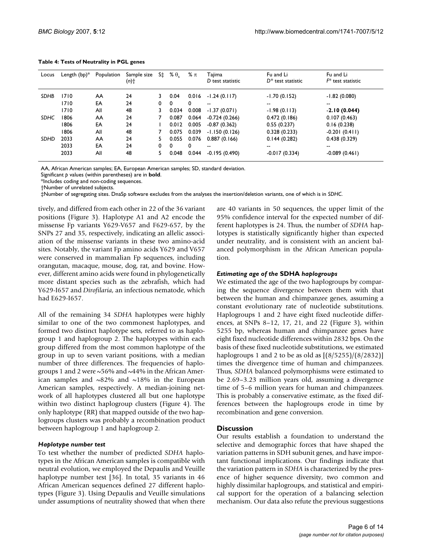| Locus       | Length (bp)* | Population | Sample size<br>(n) | S‡ | $% \theta$ | % π   | Tajima<br>D test statistic | Fu and Li<br>$D^*$ test statistic | Fu and Li<br>$F^*$ test statistic |
|-------------|--------------|------------|--------------------|----|------------|-------|----------------------------|-----------------------------------|-----------------------------------|
| <b>SDHB</b> | 1710         | AA         | 24                 | 3. | 0.04       | 0.016 | $-1.24(0.117)$             | $-1.70(0.152)$                    | $-1.82(0.080)$                    |
|             | 1710         | EA         | 24                 | 0  | $\Omega$   | 0     | $\sim$                     | --                                | $- -$                             |
|             | 1710         | All        | 48                 |    | 0.034      | 0.008 | $-1.37(0.071)$             | $-1.98(0.113)$                    | $-2.10(0.044)$                    |
| <b>SDHC</b> | 1806         | AA         | 24                 |    | 0.087      | 0.064 | $-0.724(0.266)$            | 0.472(0.186)                      | 0.107(0.463)                      |
|             | 1806         | EA         | 24                 |    | 0.012      | 0.005 | $-0.87(0.362)$             | 0.55(0.237)                       | 0.16(0.238)                       |
|             | 1806         | All        | 48                 |    | 0.075      | 0.039 | $-1.150(0.126)$            | 0.328(0.233)                      | $-0.201(0.411)$                   |
| <b>SDHD</b> | 2033         | AA         | 24                 | 5  | 0.055      | 0.076 | 0.887(0.166)               | 0.144(0.282)                      | 0.438(0.329)                      |
|             | 2033         | EA         | 24                 | 0  | $\Omega$   | 0     | $\overline{\phantom{a}}$   | --                                | $- -$                             |
|             | 2033         | All        | 48                 | 5  | 0.048      | 0.044 | $-0.195(0.490)$            | $-0.017(0.334)$                   | $-0.089(0.461)$                   |

#### **Table 4: Tests of Neutrality in PGL genes**

AA, African American samples; EA, European American samples; SD, standard deviation.

Significant *p* values (within parentheses) are in **bold**.

\*Includes coding and non-coding sequences.

†Number of unrelated subjects.

‡Number of segregating sites. DnaSp software excludes from the analyses the insertion/deletion variants, one of which is in *SDHC*.

tively, and differed from each other in 22 of the 36 variant positions (Figure 3). Haplotype A1 and A2 encode the missense Fp variants Y629-V657 and F629-657, by the SNPs 27 and 35, respectively, indicating an allelic association of the missense variants in these two amino-acid sites. Notably, the variant Fp amino acids Y629 and V657 were conserved in mammalian Fp sequences, including orangutan, macaque, mouse, dog, rat, and bovine. However, different amino acids were found in phylogenetically more distant species such as the zebrafish, which had Y629-I657 and *Dirofilaria*, an infectious nematode, which had E629-I657.

All of the remaining 34 *SDHA* haplotypes were highly similar to one of the two commonest haplotypes, and formed two distinct haplotype sets, referred to as haplogroup 1 and haplogroup 2. The haplotypes within each group differed from the most common haplotype of the group in up to seven variant positions, with a median number of three differences. The frequencies of haplogroups 1 and 2 were  $\sim$  56% and  $\sim$  44% in the African American samples and ~82% and ~18% in the European American samples, respectively. A median-joining network of all haplotypes clustered all but one haplotype within two distinct haplogroup clusters (Figure 4). The only haplotype (RR) that mapped outside of the two haplogroups clusters was probably a recombination product between haplogroup 1 and haplogroup 2.

### *Haplotype number test*

To test whether the number of predicted *SDHA* haplotypes in the African American samples is compatible with neutral evolution, we employed the Depaulis and Veuille haplotype number test [36]. In total, 35 variants in 46 African American sequences defined 27 different haplotypes (Figure 3). Using Depaulis and Veuille simulations under assumptions of neutrality showed that when there are 40 variants in 50 sequences, the upper limit of the 95% confidence interval for the expected number of different haplotypes is 24. Thus, the number of *SDHA* haplotypes is statistically significantly higher than expected under neutrality, and is consistent with an ancient balanced polymorphism in the African American population.

### *Estimating age of the* **SDHA** *haplogroups*

We estimated the age of the two haplogroups by comparing the sequence divergence between them with that between the human and chimpanzee genes, assuming a constant evolutionary rate of nucleotide substitutions. Haplogroups 1 and 2 have eight fixed nucleotide differences, at SNPs 8–12, 17, 21, and 22 (Figure 3), within 5255 bp, whereas human and chimpanzee genes have eight fixed nucleotide differences within 2832 bps. On the basis of these fixed nucleotide substitutions, we estimated haplogroups 1 and 2 to be as old as  $[(8/5255)/(8/2832)]$ times the divergence time of human and chimpanzees. Thus, *SDHA* balanced polymorphisms were estimated to be 2.69–3.23 million years old, assuming a divergence time of 5–6 million years for human and chimpanzees. This is probably a conservative estimate, as the fixed differences between the haplogroups erode in time by recombination and gene conversion.

## **Discussion**

Our results establish a foundation to understand the selective and demographic forces that have shaped the variation patterns in SDH subunit genes, and have important functional implications. Our findings indicate that the variation pattern in *SDHA* is characterized by the presence of higher sequence diversity, two common and highly dissimilar haplogroups, and statistical and empirical support for the operation of a balancing selection mechanism. Our data also refute the previous suggestions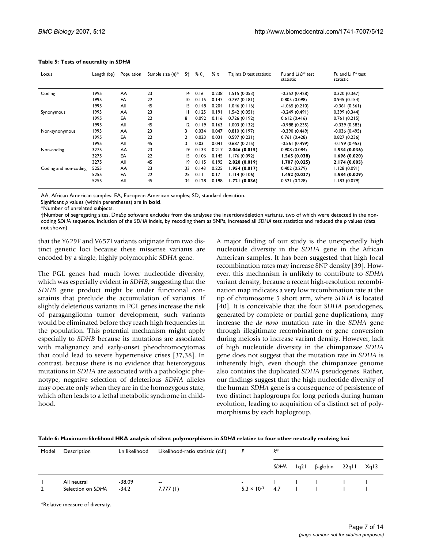| Locus                 | Length (bp) | Population | Sample size $(n)^*$ | S <sup>+</sup> | $% \theta$ | $% \pi$ | Tajima D test statistic | Fu and Li $D^*$ test<br>statistic | Fu and Li $F^*$ test<br>statistic |
|-----------------------|-------------|------------|---------------------|----------------|------------|---------|-------------------------|-----------------------------------|-----------------------------------|
| Coding                | 1995        | AA         | 23                  | 14             | 0.16       | 0.238   | 1.515 (0.053)           | $-0.352(0.428)$                   | 0.320(0.367)                      |
|                       | 1995        | EA         | 22                  | 10             | 0.115      | 0.147   | 0.797(0.181)            | 0.805(0.098)                      | 0.945(0.154)                      |
|                       | 1995        | All        | 45                  | 15             | 0.148      | 0.204   | 1.046 (0.116)           | $-1.065(0.210)$                   | $-0.361(0.361)$                   |
| Synonymous            | 1995        | <b>AA</b>  | 23                  | $\mathbf{H}$   | 0.125      | 0.191   | 1.542(0.051)            | $-0.249(0.491)$                   | 0.399(0.344)                      |
|                       | 1995        | EA         | 22                  | 8              | 0.092      | 0.116   | 0.726(0.192)            | 0.612(0.416)                      | 0.761(0.215)                      |
|                       | 1995        | All        | 45                  | 12             | 0.119      | 0.163   | 1.003(0.132)            | $-0.988(0.235)$                   | $-0.339(0.383)$                   |
| Non-synonymous        | 1995        | AA         | 23                  | 3              | 0.034      | 0.047   | 0.810(0.197)            | $-0.390(0.449)$                   | $-0.036(0.495)$                   |
|                       | 1995        | EA         | 22                  | $\mathbf{2}$   | 0.023      | 0.031   | 0.597(0.231)            | 0.761(0.428)                      | 0.827(0.236)                      |
|                       | 1995        | All        | 45                  | 3              | 0.03       | 0.041   | 0.687(0.215)            | $-0.561(0.499)$                   | $-0.199(0.453)$                   |
| Non-coding            | 3275        | AA         | 23                  | 19             | 0.133      | 0.217   | 2.046(0.015)            | 0.908(0.084)                      | 1.534(0.036)                      |
|                       | 3275        | EA         | 22                  | 15             | 0.106      | 0.145   | 1.176 (0.092)           | 1.565(0.038)                      | 1.696(0.020)                      |
|                       | 3275        | All        | 45                  | 19             | 0.115      | 0.195   | 2.020(0.019)            | 1.707(0.025)                      | 2.174 (0.005)                     |
| Coding and non-coding | 5255        | AA         | 23                  | 33             | 0.143      | 0.225   | 1.954(0.017)            | 0.402(0.279)                      | 1.128(0.091)                      |
|                       | 5255        | EA         | 22                  | 25             | 0.11       | 0.17    | 1.114(0.106)            | 1.452(0.037)                      | 1.584 (0.029)                     |
|                       | 5255        | All        | 45                  | 34             | 0.128      | 0.198   | 1.721(0.036)            | 0.521(0.228)                      | 1.183 (0.079)                     |

#### **Table 5: Tests of neutrality in** *SDHA*

AA, African American samples; EA, European American samples; SD, standard deviation.

Significant *p* values (within parentheses) are in **bold**.

\*Number of unrelated subjects.

†Number of segregating sites. DnaSp software excludes from the analyses the insertion/deletion variants, two of which were detected in the noncoding *SDHA* sequence. Inclusion of the *SDHA* indels, by recoding them as SNPs, increased all *SDHA* test statistics and reduced the *p* values (data not shown)

that the Y629F and V657I variants originate from two distinct genetic loci because these missense variants are encoded by a single, highly polymorphic *SDHA* gene.

The PGL genes had much lower nucleotide diversity, which was especially evident in *SDHB*, suggesting that the *SDHB* gene product might be under functional constraints that preclude the accumulation of variants. If slightly deleterious variants in PGL genes increase the risk of paraganglioma tumor development, such variants would be eliminated before they reach high frequencies in the population. This potential mechanism might apply especially to *SDHB* because its mutations are associated with malignancy and early-onset pheochromocytomas that could lead to severe hypertensive crises [37,38]. In contrast, because there is no evidence that heterozygous mutations in *SDHA* are associated with a pathologic phenotype, negative selection of deleterious *SDHA* alleles may operate only when they are in the homozygous state, which often leads to a lethal metabolic syndrome in childhood.

A major finding of our study is the unexpectedly high nucleotide diversity in the *SDHA* gene in the African American samples. It has been suggested that high local recombination rates may increase SNP density [39]. However, this mechanism is unlikely to contribute to *SDHA* variant density, because a recent high-resolution recombination map indicates a very low recombination rate at the tip of chromosome 5 short arm, where *SDHA* is located [40]. It is conceivable that the four *SDHA* pseudogenes, generated by complete or partial gene duplications, may increase the *de novo* mutation rate in the *SDHA* gene through illegitimate recombination or gene conversion during meiosis to increase variant density. However, lack of high nucleotide diversity in the chimpanzee *SDHA* gene does not suggest that the mutation rate in *SDHA* is inherently high, even though the chimpanzee genome also contains the duplicated *SDHA* pseudogenes. Rather, our findings suggest that the high nucleotide diversity of the human *SDHA* gene is a consequence of persistence of two distinct haplogroups for long periods during human evolution, leading to acquisition of a distinct set of polymorphisms by each haplogroup.

| Table 6: Maximum-likelihood HKA analysis of silent polymorphisms in SDHA relative to four other neutrally evolving loci |  |  |
|-------------------------------------------------------------------------------------------------------------------------|--|--|
|                                                                                                                         |  |  |

| Model        | Description       | Ln likelihood | Likelihood-ratio statistic (d.f.) | P                    | $k^*$ |                                   |                                                                                                                    |          |      |  |  |  |  |  |  |
|--------------|-------------------|---------------|-----------------------------------|----------------------|-------|-----------------------------------|--------------------------------------------------------------------------------------------------------------------|----------|------|--|--|--|--|--|--|
|              |                   |               |                                   |                      | SDHA  | lg2l                              | β-globin                                                                                                           | $22q$ ll | Xq13 |  |  |  |  |  |  |
|              | All neutral       | -38.09        | $\overline{\phantom{a}}$          | $\sim$               |       |                                   | $\mathbf{1}$ and $\mathbf{1}$ and $\mathbf{1}$ and $\mathbf{1}$ and $\mathbf{1}$ and $\mathbf{1}$ and $\mathbf{1}$ |          |      |  |  |  |  |  |  |
| $\mathbf{2}$ | Selection on SDHA | $-34.2$       | 7.777(1)                          | $5.3 \times 10^{-3}$ | 4.7   | and the state of the state of the |                                                                                                                    |          |      |  |  |  |  |  |  |

\*Relative measure of diversity.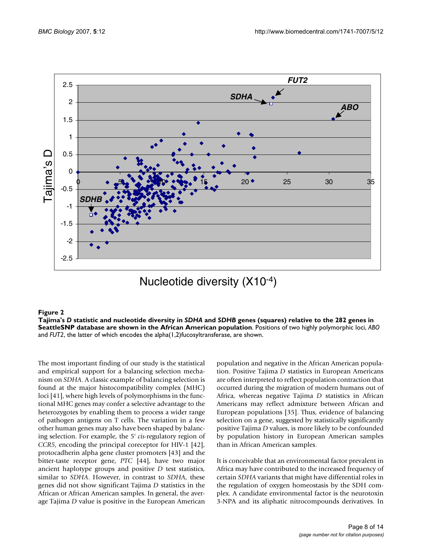

Nucleotide diversity (X10-4)

# Tajima's are shown in the African American population **Figure 2***D* statistic and nucleotide diversity in *SDHA* and *SDHB* genes (squares) relative to the 282 genes in SeattleSNP database

**Tajima's** *D* **statistic and nucleotide diversity in** *SDHA* **and** *SDHB* **genes (squares) relative to the 282 genes in SeattleSNP database are shown in the African American population**. Positions of two highly polymorphic loci, *ABO*  and *FUT2*, the latter of which encodes the alpha(1,2)fucosyltransferase, are shown.

The most important finding of our study is the statistical and empirical support for a balancing selection mechanism on *SDHA*. A classic example of balancing selection is found at the major histocompatibility complex (MHC) loci [41], where high levels of polymorphisms in the functional MHC genes may confer a selective advantage to the heterozygotes by enabling them to process a wider range of pathogen antigens on T cells. The variation in a few other human genes may also have been shaped by balancing selection. For example, the 5' *cis*-regulatory region of *CCR5*, encoding the principal coreceptor for HIV-1 [42], protocadherin alpha gene cluster promoters [43] and the bitter-taste receptor gene, *PTC* [44], have two major ancient haplotype groups and positive *D* test statistics, similar to *SDHA*. However, in contrast to *SDHA*, these genes did not show significant Tajima *D* statistics in the African or African American samples. In general, the average Tajima *D* value is positive in the European American

population and negative in the African American population. Positive Tajima *D* statistics in European Americans are often interpreted to reflect population contraction that occurred during the migration of modern humans out of Africa, whereas negative Tajima *D* statistics in African Americans may reflect admixture between African and European populations [35]. Thus, evidence of balancing selection on a gene, suggested by statistically significantly positive Tajima *D* values, is more likely to be confounded by population history in European American samples than in African American samples.

It is conceivable that an environmental factor prevalent in Africa may have contributed to the increased frequency of certain *SDHA* variants that might have differential roles in the regulation of oxygen homeostasis by the SDH complex. A candidate environmental factor is the neurotoxin 3-NPA and its aliphatic nitrocompounds derivatives. In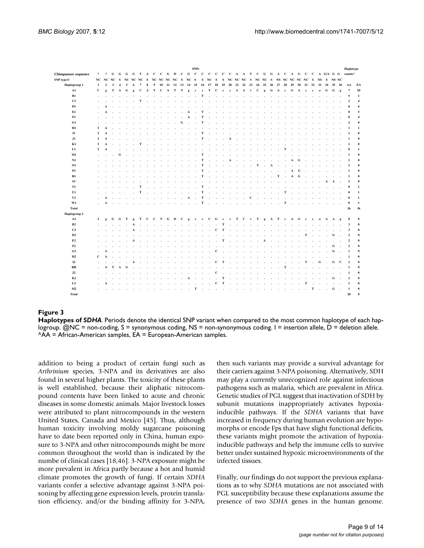|                            |                      |                          |                      |                          |                      |                      |                                          |              |                      |                      |                      |                      |                          |                          | <b>SNPs</b>              |                          |                      |                             |                          |                          |                     |                          |                      |                          |                          |                      |                          |                          |                      |                          |                          |                          |                          |                                                  |                          |                          | Haplotype                                                                 |                         |
|----------------------------|----------------------|--------------------------|----------------------|--------------------------|----------------------|----------------------|------------------------------------------|--------------|----------------------|----------------------|----------------------|----------------------|--------------------------|--------------------------|--------------------------|--------------------------|----------------------|-----------------------------|--------------------------|--------------------------|---------------------|--------------------------|----------------------|--------------------------|--------------------------|----------------------|--------------------------|--------------------------|----------------------|--------------------------|--------------------------|--------------------------|--------------------------|--------------------------------------------------|--------------------------|--------------------------|---------------------------------------------------------------------------|-------------------------|
| <b>Chimpanzee sequence</b> | $\ddot{\phantom{0}}$ | $\cdot$                  | G                    |                          |                      |                      |                                          |              |                      |                      |                      |                      |                          |                          |                          |                          |                      |                             |                          |                          |                     |                          |                      |                          |                          |                      |                          |                          |                      |                          |                          |                          |                          |                                                  |                          |                          | G G G T A C C G D C G C C C C C A A T C G G A C A G C C A G/A G G counts^ |                         |
| SNP type@                  |                      |                          |                      |                          |                      |                      | NC NC NC S NC NC NC S NC NC NC NC S NC S |              |                      |                      |                      |                      |                          |                          |                          |                          | S NC S               |                             |                          |                          |                     |                          |                      |                          |                          |                      |                          |                          |                      |                          |                          |                          |                          | S NC NC NC S NC NC S NS NC NC NC NC S NS S NS NC |                          |                          |                                                                           |                         |
| Haplogroup 1               | 1                    | $\mathbf{2}$             | $\mathbf{3}$         | $\overline{4}$           | 5                    | 6                    | $\tau$                                   | 8            |                      |                      |                      |                      |                          |                          | 9 10 11 12 13 14 15 16   |                          | 17 18 19             |                             |                          |                          |                     | 20 21 22 23 24 25 26     |                      |                          |                          |                      |                          |                          |                      |                          |                          |                          |                          | 27 28 29 30 31 32 33 34                          |                          | 35 36                    | AA                                                                        | EA                      |
| A1                         | $\mathbf c$          | $\mathbf{g}$             |                      | $T$ $A$ $G$              |                      | $\mathbf{g}$         | ${\bf c}$                                | $\mathbf{A}$ | T C                  |                      |                      | $A$ T T              |                          | $\mathbf{g}$             | $c$ $c$                  |                          | $\mathbf{T}$         | $\mathbf c$                 | $\mathbf{c}$             |                          | $c \quad A \quad A$ |                          |                      | $t$ C                    | $g$ G                    |                      | A c                      |                          | G                    | $\mathbf{A}$             | $\mathbf{c}$             | $\mathbf c$              | $\bf{a}$                 | G                                                | G                        | $\mathbf{g}$             | $\overline{7}$                                                            | 10                      |
| B1                         | $\ddot{\phantom{a}}$ | $\lambda$                |                      |                          | $\overline{a}$       | $\ddot{\phantom{a}}$ | $\ddot{\phantom{0}}$                     | $\cdot$      | $\ddot{\phantom{a}}$ | $\overline{a}$       | $\sim$               | $\lambda$            | $\cdot$                  | $\sim$                   | $\cdot$                  | $\bf{T}$                 | $\cdot$              | $\epsilon$                  | $\sim$                   | $\cdot$                  | $\cdot$             | $\sim$                   | $\ddot{\phantom{a}}$ | $\lambda$                | $\blacksquare$           | $\cdot$              | $\lambda$                | $\lambda$                | $\ddot{\phantom{a}}$ | $\overline{\phantom{a}}$ | $\cdot$                  | $\cdot$                  | $\ddot{\phantom{a}}$     | $\mathbf{r}$                                     |                          |                          | 5                                                                         | $\mathbf{1}$            |
| C1                         | $\mathbf{r}$         | $\cdot$                  | $\lambda$            | $\overline{\phantom{a}}$ | $\lambda$            | $\mathbf{r}$         | т                                        | $\lambda$    | $\mathbf{r}$         | $\ddot{\phantom{a}}$ | $\sim$               | $\mathbf{r}$         | $\lambda$                | $\sim$                   | $\mathbf{r}$             | $\ddot{\phantom{a}}$     | $\ddot{\phantom{a}}$ | $\ddot{\phantom{a}}$        | $\sim$                   | $\sim$                   | $\cdot$             | $\ddot{\phantom{a}}$     | $\cdot$              | $\lambda$                | $\mathbf{r}$             | $\cdot$              | $\lambda$                | $\ddot{\phantom{a}}$     | $\ddot{\phantom{a}}$ | $\cdot$                  | $\mathbf{r}$             | $\mathbf{r}$             | $\cdot$                  | $\mathbf{r}$                                     |                          |                          | $\overline{\mathbf{c}}$                                                   | $\bf{4}$                |
| $\mathbf{D1}$              | $\lambda$            | $\mathbf A$              |                      |                          |                      |                      |                                          |              |                      |                      |                      |                      |                          |                          |                          |                          | J.                   |                             | $\cdot$                  | $\lambda$                |                     |                          |                      |                          |                          |                      |                          |                          |                      |                          |                          |                          |                          |                                                  |                          |                          | $\bf{0}$                                                                  | 6                       |
| E1                         | $\cdot$              | ${\bf A}$                |                      |                          |                      |                      |                                          |              |                      |                      | $\lambda$            | ×                    | $\ddot{\phantom{a}}$     | $\mathbf{A}$             | $\cdot$                  | T                        | $\lambda$            | $\mathbf{r}$                | $\ddot{\phantom{a}}$     | $\lambda$                |                     |                          |                      |                          |                          |                      |                          |                          |                      |                          |                          |                          |                          |                                                  |                          |                          | $\bf{0}$                                                                  | 5                       |
| F1                         | $\cdot$              |                          |                      |                          |                      |                      |                                          | ÷.           | $\ddot{\phantom{a}}$ | $\sim$               | $\mathbf{r}$         | $\cdot$              | $\blacksquare$           | $\mathbf{A}$             | $\cdot$                  | T                        | $\blacksquare$       | ÷                           | $\cdot$                  | $\ddot{\phantom{a}}$     |                     | $\ddot{\phantom{1}}$     | $\sim$               |                          | $\ddot{\phantom{a}}$     |                      |                          | $\sim$                   |                      |                          |                          | $\overline{\phantom{a}}$ |                          | - 1                                              |                          |                          | $\bf{0}$                                                                  | $\overline{\mathbf{4}}$ |
| G1                         | $\cdot$              | $\lambda$                |                      |                          |                      |                      |                                          | $\cdot$      | $\ddot{\phantom{a}}$ | $\cdot$              | $\ddot{\phantom{a}}$ | $\cdot$              | G                        | $\blacksquare$           | $\blacksquare$           | T                        | $\cdot$              | $\cdot$                     | $\cdot$                  | $\cdot$                  |                     | $\overline{\phantom{a}}$ |                      |                          | $\ddot{\phantom{a}}$     |                      |                          |                          |                      |                          |                          |                          |                          |                                                  |                          |                          | $\overline{\mathbf{c}}$                                                   | $\bf{0}$                |
| H1                         | 1                    | $\mathbf A$              |                      |                          |                      |                      |                                          |              |                      |                      |                      |                      |                          |                          |                          |                          |                      |                             | $\ddot{\phantom{a}}$     |                          |                     |                          |                      |                          |                          |                      |                          |                          |                      |                          |                          |                          |                          |                                                  |                          |                          | $\mathbf{1}$                                                              | $\mathbf 1$             |
| 11                         | $\bf I$              | $\mathbf A$              |                      | $\lambda$                |                      |                      |                                          |              |                      |                      |                      |                      | $\ddot{\phantom{a}}$     | $\cdot$                  | $\ddot{\phantom{a}}$     | T                        | $\lambda$            | $\mathbf{r}$                | $\ddot{\phantom{a}}$     | $\lambda$                |                     | J.                       |                      |                          | ÷.                       |                      |                          |                          |                      |                          |                          |                          |                          | $\cdot$                                          |                          |                          | $\mathbf{1}$                                                              | $\boldsymbol{0}$        |
| J1                         | $\bf{I}$             | ${\bf A}$                |                      |                          | $\cdot$              |                      |                                          |              |                      |                      |                      |                      | $\blacksquare$           | $\cdot$                  | $\cdot$                  | T                        | $\ddot{\phantom{a}}$ | $\epsilon$                  | $\cdot$                  | ${\bf A}$                |                     | $\ddot{\phantom{a}}$     | $\cdot$              |                          | $\cdot$                  |                      |                          |                          |                      |                          |                          |                          |                          |                                                  |                          |                          | 1                                                                         | $\bf{0}$                |
| K1                         | Т.                   | ${\bf A}$                | $\cdot$              |                          | $\cdot$              | $\lambda$            | Т                                        | $\cdot$      |                      |                      |                      |                      | $\mathbf{r}$             | $\cdot$                  | $\ddot{\phantom{1}}$     | $\ddot{\phantom{a}}$     | $\lambda$            | $\overline{\phantom{a}}$    | $\cdot$                  | $\cdot$                  |                     | $\ddot{\phantom{1}}$     | $\cdot$              | $\ddot{\phantom{1}}$     | $\cdot$                  |                      | $\overline{\phantom{a}}$ |                          |                      |                          |                          |                          |                          | $\overline{\phantom{a}}$                         |                          |                          | 1                                                                         | $\bf{0}$                |
| L1                         | Т.                   | ${\bf A}$                |                      |                          |                      |                      |                                          |              |                      |                      |                      |                      |                          |                          |                          |                          |                      |                             |                          |                          |                     |                          |                      |                          |                          |                      |                          | т                        |                      |                          |                          |                          |                          |                                                  |                          |                          | $\bf{0}$                                                                  | $\mathbf{1}$            |
| M1                         | $\cdot$              | $\cdot$                  | $\cdot$              | G                        |                      |                      |                                          |              |                      |                      |                      | ×                    | $\ddot{\phantom{1}}$     | $\cdot$                  | $\ddot{\phantom{1}}$     | Т                        | $\ddot{\phantom{a}}$ | $\mathbf{r}$                | $\cdot$                  | $\lambda$                | $\cdot$             | $\overline{\phantom{a}}$ | $\cdot$              | $\cdot$                  | $\cdot$                  | $\cdot$              | $\cdot$                  | $\overline{\phantom{a}}$ |                      |                          |                          | ×                        | $\ddot{\phantom{a}}$     | $\cdot$                                          |                          |                          | $\mathbf{1}$                                                              | $\bf{0}$                |
| N1                         | $\cdot$              |                          |                      |                          |                      |                      |                                          |              |                      |                      |                      |                      | $\lambda$                | $\cdot$                  | $\ddot{\phantom{a}}$     | T                        | $\cdot$              | $\cdot$                     | $\sim$                   | $\bf A$                  | $\lambda$           | $\blacksquare$           | $\cdot$              | $\ddot{\phantom{a}}$     | $\cdot$                  | $\sim$ 100 $\sim$    |                          | $\ddot{\phantom{a}}$     | $\mathbf{A}$         | G                        | $\ddot{\phantom{a}}$     | $\cdot$                  | $\overline{\phantom{a}}$ | $\cdot$                                          |                          |                          | 1                                                                         | $\bf{0}$                |
| <b>O1</b>                  | $\ddot{\phantom{a}}$ |                          |                      |                          |                      |                      |                                          |              |                      |                      |                      |                      | $\blacksquare$           | $\cdot$                  | $\ddot{\phantom{a}}$     | T                        | $\blacksquare$       | $\mathcal{L}_{\mathcal{A}}$ | $\overline{\phantom{a}}$ | $\sim$                   | $\lambda$           | $\cdot$                  | $\ddot{\phantom{a}}$ | T                        | $\cdot$                  | $\mathbf{A}$         | $\ddot{\phantom{a}}$     | $\cdot$                  | $\ddot{\phantom{a}}$ |                          |                          |                          | $\cdot$                  | $\epsilon$                                       |                          |                          | $\mathbf{1}$                                                              | $\bf{0}$                |
| P1                         | $\ddot{\phantom{a}}$ | ÷.                       |                      |                          |                      |                      |                                          |              |                      |                      |                      | $\overline{a}$       | $\lambda$                | $\lambda$                | $\overline{\phantom{a}}$ | $\mathbf T$              | $\lambda$            | i.                          | $\blacksquare$           | $\ddot{\phantom{a}}$     |                     | $\ddot{\phantom{a}}$     | ÷.                   |                          | $\lambda$                | - 11                 | $\overline{\phantom{a}}$ | $\cdot$                  | $\mathbf A$          | G                        |                          | $\overline{\phantom{a}}$ | $\ddot{\phantom{a}}$     | $\overline{\phantom{a}}$                         | ÷                        | - 1                      | $\mathbf{1}$                                                              | $\bf{0}$                |
| R1                         | $\ddot{\phantom{a}}$ | $\lambda$                |                      |                          |                      |                      |                                          |              |                      |                      | $\lambda$            | $\lambda$            | $\mathbf{r}$             | $\cdot$                  | $\blacksquare$           | T                        | $\cdot$              | $\overline{\phantom{a}}$    | $\cdot$                  | $\cdot$                  | $\cdot$             | $\cdot$                  | $\lambda$            | $\blacksquare$           | $\cdot$                  | $\cdot$              | т                        | $\cdot$                  | $\mathbf A$          | G                        | ٠.                       | $\overline{\phantom{a}}$ | $\cdot$                  | $\ddot{\phantom{a}}$                             | $\overline{\phantom{a}}$ | $\overline{\phantom{a}}$ | 1                                                                         | $\bf{0}$                |
| S1                         | $\lambda$            |                          |                      |                          |                      |                      |                                          |              |                      |                      |                      |                      |                          | $\lambda$                |                          |                          | ×                    |                             | $\cdot$                  | $\ddot{\phantom{a}}$     |                     | $\overline{\phantom{a}}$ |                      |                          | $\overline{\phantom{a}}$ |                      |                          |                          |                      |                          |                          | $\overline{\phantom{a}}$ | $\ddot{\phantom{a}}$     | $\mathbf{A}$                                     | A                        |                          | 1                                                                         | $\bf{0}$                |
| T1                         | $\lambda$            | $\cdot$                  | $\cdot$              |                          |                      |                      | т                                        |              |                      |                      |                      | $\lambda$            | $\mathbf{r}$             | $\ddot{\phantom{a}}$     | $\overline{\phantom{a}}$ | T                        | $\mathbf{r}$         | $\overline{\phantom{a}}$    | $\cdot$                  | $\ddot{\phantom{a}}$     |                     | $\overline{\phantom{a}}$ |                      |                          | $\mathbf{r}$             |                      |                          |                          |                      |                          |                          |                          |                          |                                                  |                          |                          | $\bf{0}$                                                                  | $\mathbf{1}$            |
| U1                         | $\sim$               | ÷.                       | $\sim$               | $\mathbf{r}$             | ٠.                   |                      | т                                        |              |                      |                      |                      | $\overline{a}$       | i.                       | $\overline{\phantom{a}}$ | ÷.                       | T                        | $\lambda$            | ÷                           | $\ddot{\phantom{a}}$     | $\overline{\phantom{a}}$ |                     | ÷.                       |                      |                          | ÷.                       | $\sim$               | ÷.                       | T                        |                      |                          |                          |                          |                          |                                                  |                          |                          | $\bf{0}$                                                                  | $\mathbf 1$             |
| V1                         | $\ddot{\phantom{a}}$ | A                        | $\lambda$            |                          |                      |                      |                                          |              | ÷.                   | $\lambda$            | $\lambda$            | $\ddot{\phantom{a}}$ | $\lambda$                | $\mathbf A$              | $\ddot{\phantom{a}}$     | $\mathbf T$              | $\cdot$              | $\lambda$                   | $\cdot$                  | $\cdot$                  | $\cdot$             | $\epsilon$               | $\mathbf c$          | $\ddot{\phantom{a}}$     | $\overline{\phantom{a}}$ | $\ddot{\phantom{a}}$ | $\overline{\phantom{a}}$ | $\cdot$                  | $\lambda$            | ÷.                       | $\overline{\phantom{a}}$ | $\mathbf{r}$             |                          |                                                  |                          | - 1                      | $\bf{0}$                                                                  | 1                       |
| W1                         | $\mathbf{r}$         | A                        |                      |                          |                      |                      |                                          |              |                      |                      |                      |                      |                          |                          |                          | T                        | $\lambda$            |                             | $\ddot{\phantom{a}}$     | $\mathbf{r}$             |                     | $\lambda$                |                      |                          | $\mathbf{r}$             |                      | $\lambda$                | $\mathbf T$              | $\lambda$            | $\overline{\phantom{a}}$ |                          |                          |                          |                                                  |                          |                          | $\bf{0}$                                                                  | $\mathbf 1$             |
| Total                      |                      |                          |                      |                          |                      |                      |                                          |              |                      |                      |                      |                      |                          |                          |                          |                          |                      |                             |                          |                          |                     |                          |                      |                          |                          |                      |                          |                          |                      |                          |                          |                          |                          |                                                  |                          |                          | 26                                                                        | 36                      |
| Haplogroup 2               |                      |                          |                      |                          |                      |                      |                                          |              |                      |                      |                      |                      |                          |                          |                          |                          |                      |                             |                          |                          |                     |                          |                      |                          |                          |                      |                          |                          |                      |                          |                          |                          |                          |                                                  |                          |                          |                                                                           |                         |
| A2                         | $\mathbf{I}$         | g                        |                      | $G$ $G$ $T$              |                      | $\mathbf{g}$         | T                                        | $\mathbf{C}$ |                      |                      |                      | $C$ T $G$ D $C$      |                          |                          | geeCGeeTCtTgATe          |                          |                      |                             |                          |                          |                     |                          |                      |                          |                          |                      |                          |                          | A G                  |                          | $\mathbf{c}$             | $\mathbf{c}$             | $\bf a$                  | A A                                              |                          | $\mathbf{g}$             | $\bf{0}$                                                                  | 8                       |
| B2                         | $\sim$               | $\ddot{\phantom{a}}$     |                      |                          |                      | A                    |                                          |              |                      |                      |                      |                      |                          | $\lambda$                | $\ddot{\phantom{a}}$     | $\overline{\phantom{a}}$ | $\cdot$              |                             | T                        | $\cdot$                  |                     | ÷.                       |                      |                          | $\ddot{\phantom{a}}$     | $\lambda$            | $\overline{\phantom{a}}$ |                          |                      |                          |                          |                          |                          | $\overline{\phantom{a}}$                         |                          |                          | 3                                                                         | $\bf{0}$                |
| C2                         | $\ddot{\phantom{a}}$ | $\overline{\phantom{a}}$ |                      | $\overline{\phantom{a}}$ |                      | A                    |                                          |              |                      |                      |                      |                      |                          | $\lambda$                | $\lambda$                | $\overline{\phantom{a}}$ | $\mathbf{r}$         | $\mathbf c$                 | $\bf{T}$                 | $\cdot$                  | $\overline{a}$      | $\Delta$                 | $\cdot$              | $\overline{\phantom{a}}$ | $\lambda$                | $\lambda$            | $\overline{\phantom{a}}$ | $\cdot$                  |                      |                          |                          | $\cdot$                  | $\ddot{\phantom{a}}$     | $\overline{\phantom{a}}$                         |                          |                          | 3                                                                         | $\bf{0}$                |
| D2                         |                      | $\lambda$                | $\lambda$            | $\mathbf{r}$             |                      |                      |                                          |              |                      |                      |                      |                      |                          | $\cdot$                  | ÷.                       |                          | $\blacksquare$       |                             |                          | $\cdot$                  | $\overline{a}$      | $\cdot$                  | $\overline{a}$       | $\lambda$                | $\lambda$                | $\ddot{\phantom{a}}$ | $\ddot{\phantom{a}}$     |                          |                      |                          | T                        |                          | $\ddot{\phantom{a}}$     | $\epsilon$                                       | G                        |                          | $\overline{\mathbf{c}}$                                                   | $\bf{0}$                |
| E2                         | $\ddot{\phantom{a}}$ | $\mathbf{r}$             |                      |                          | $\ddot{\phantom{a}}$ | A                    |                                          |              |                      |                      |                      |                      |                          | $\overline{\phantom{a}}$ | $\lambda$                |                          | $\lambda$            | $\mathbf{r}$                | Т                        | $\cdot$                  |                     | $\mathbf{r}$             | $\overline{a}$       | $\epsilon$               | $\mathbf{A}$             | $\overline{a}$       |                          | $\overline{a}$           |                      |                          |                          |                          | ×                        | $\ddot{\phantom{a}}$                             |                          |                          | $\overline{2}$                                                            | $\bf{0}$                |
| F2                         | $\epsilon$           | $\mathbf{r}$             |                      |                          |                      |                      |                                          |              |                      |                      |                      |                      |                          | $\ddot{\phantom{a}}$     | $\lambda$                | - 2                      | $\lambda$            | $\overline{\phantom{a}}$    | $\ddot{\phantom{a}}$     | $\cdot$                  |                     | $\lambda$                | ÷.                   | $\overline{\phantom{a}}$ | $\lambda$                |                      |                          | $\ddot{\phantom{a}}$     |                      | ÷.                       |                          |                          | $\cdot$                  | $\epsilon$                                       | G                        |                          | $\overline{\mathbf{2}}$                                                   | $\bf{0}$                |
| G2                         | $\cdot$              | A                        |                      |                          |                      |                      |                                          |              |                      |                      |                      |                      |                          |                          |                          |                          | $\lambda$            | с                           | $\overline{\phantom{a}}$ | $\ddot{\phantom{a}}$     |                     |                          |                      |                          |                          |                      |                          |                          |                      |                          |                          |                          | $\ddot{\phantom{a}}$     |                                                  | G                        |                          | $\mathbf{1}$                                                              | $\bf{0}$                |
| H2                         | $\mathbf C$          | $\mathbf A$              | $\cdot$              | $\lambda$                | $\overline{a}$       |                      |                                          |              |                      |                      |                      |                      | $\lambda$                | $\cdot$                  | $\ddot{\phantom{a}}$     | $\overline{\phantom{a}}$ | $\cdot$              | $\mathbf{r}$                | $\overline{\phantom{a}}$ | $\ddot{\phantom{a}}$     |                     | J.                       | $\overline{a}$       | $\lambda$                | $\lambda$                | $\lambda$            | $\ddot{\phantom{a}}$     | $\overline{\phantom{a}}$ |                      |                          |                          |                          | ×.                       | $\cdot$                                          |                          |                          | $\mathbf{1}$                                                              | $\bf{0}$                |
| 12                         |                      | $\mathbf{r}$             | $\ddot{\phantom{a}}$ | $\overline{\phantom{a}}$ | $\cdot$              | A                    |                                          |              |                      |                      |                      |                      | $\lambda$                | $\cdot$                  | $\blacksquare$           | $\cdot$                  | $\ddot{\phantom{0}}$ | c                           | $\bf{T}$                 | ł.                       |                     | $\ddot{\phantom{a}}$     | $\ddot{\phantom{a}}$ |                          | $\cdot$                  | $\ddot{\phantom{a}}$ | $\overline{\phantom{a}}$ | $\cdot$                  | $\lambda$            | J.                       | т                        |                          | G                        | $\sim$                                           | G                        | $\mathbf c$              | 1                                                                         | $\bf{0}$                |
| $_{\rm RR}$                | $\blacksquare$       | ${\bf A}$                | T                    | A                        | G                    |                      |                                          |              |                      |                      |                      |                      | $\cdot$                  | $\cdot$                  | $\cdot$                  |                          | $\ddot{\phantom{0}}$ |                             | $\cdot$                  | $\cdot$                  |                     | $\ddot{\phantom{a}}$     | $\cdot$              | $\cdot$                  | $\cdot$                  | $\cdot$              | $\cdot$                  | T                        |                      |                          |                          |                          |                          | $\epsilon$                                       |                          |                          | $\mathbf{1}$                                                              | $\bf{0}$                |
| $_{\rm J2}$                |                      |                          |                      |                          |                      |                      |                                          |              |                      |                      |                      |                      |                          |                          |                          |                          | $\lambda$            | с                           |                          | $\mathbf{r}$             |                     |                          |                      |                          |                          |                      |                          |                          |                      |                          |                          |                          |                          |                                                  |                          |                          | $\mathbf{1}$                                                              | $\bf{0}$                |
| K2                         | $\cdot$              |                          |                      |                          |                      |                      |                                          |              |                      |                      |                      |                      | $\overline{\phantom{a}}$ | $\mathbf A$              | $\lambda$                | $\cdot$                  | $\cdot$              | $\epsilon$                  | T                        | $\cdot$                  |                     |                          |                      |                          |                          |                      |                          |                          |                      |                          |                          |                          |                          | $\mathbf{r}$                                     | G                        |                          | 1                                                                         | $\bf{0}$                |
| L2                         | $\cdot$              | A                        | $\ddot{\phantom{a}}$ |                          |                      |                      |                                          |              |                      |                      |                      |                      |                          | $\ddot{\phantom{a}}$     |                          |                          | $\ddot{\phantom{0}}$ | $\mathbf c$                 | T                        |                          |                     |                          |                      |                          | ł.                       |                      |                          | $\ddot{\phantom{a}}$     |                      |                          | T                        | ×                        |                          | $\epsilon$                                       |                          |                          | 1                                                                         | $\bf{0}$                |
| M <sub>2</sub>             | $\ddot{\phantom{a}}$ | $\cdot$                  |                      |                          |                      |                      |                                          |              |                      |                      |                      | $\cdot$              | $\cdot$                  | $\cdot$                  | т                        | $\lambda$                | $\lambda$            |                             |                          |                          |                     | $\ddot{\phantom{a}}$     |                      |                          |                          |                      |                          |                          |                      |                          |                          | T                        | $\lambda$                | $\mathbf{r}$                                     | G                        | $\blacksquare$           | 1                                                                         | $\bf{0}$                |
| Total                      |                      |                          |                      |                          |                      |                      |                                          |              |                      |                      |                      |                      |                          |                          |                          |                          |                      |                             |                          |                          |                     |                          |                      |                          |                          |                      |                          |                          |                      |                          |                          |                          |                          |                                                  |                          |                          | 20                                                                        | ${\bf 8}$               |

### **Figure 3**

**Haplotypes of** *SDHA*. Periods denote the identical SNP variant when compared to the most common haplotype of each haplogroup. @NC = non-coding, S = synonymous coding, NS = non-synonymous coding. I = insertion allele, D = deletion allele. ^AA = African-American samples, EA = European-American samples.

addition to being a product of certain fungi such as *Arthrinium* species, 3-NPA and its derivatives are also found in several higher plants. The toxicity of these plants is well established, because their aliphatic nitrocompound contents have been linked to acute and chronic diseases in some domestic animals. Major livestock losses were attributed to plant nitrocompounds in the western United States, Canada and Mexico [45]. Thus, although human toxicity involving moldy sugarcane poisoning have to date been reported only in China, human exposure to 3-NPA and other nitrocompounds might be more common throughout the world than is indicated by the numbe of clinical cases [18,46]. 3-NPA exposure might be more prevalent in Africa partly because a hot and humid climate promotes the growth of fungi. If certain *SDHA* variants confer a selective advantage against 3-NPA poisoning by affecting gene expression levels, protein translation efficiency, and/or the binding affinity for 3-NPA,

then such variants may provide a survival advantage for their carriers against 3-NPA poisoning. Alternatively, SDH may play a currently unrecognized role against infectious pathogens such as malaria, which are prevalent in Africa. Genetic studies of PGL suggest that inactivation of SDH by subunit mutations inappropriately activates hypoxiainducible pathways. If the *SDHA* variants that have increased in frequency during human evolution are hypomorphs or encode Fps that have slight functional deficits, these variants might promote the activation of hypoxiainducible pathways and help the immune cells to survive better under sustained hypoxic microenvironments of the infected tissues.

Finally, our findings do not support the previous explanations as to why *SDHA* mutations are not associated with PGL susceptibility because these explanations assume the presence of two *SDHA* genes in the human genome.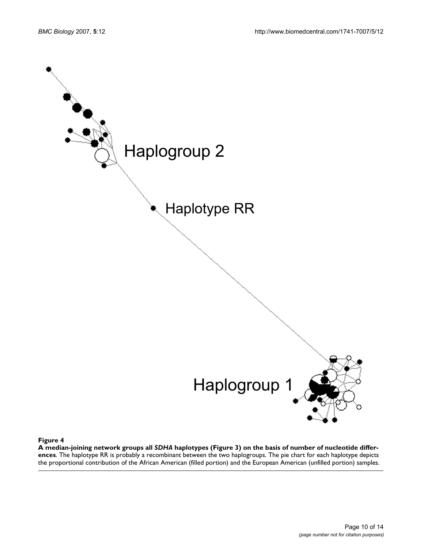

### **Figure 4** A median-joining network groups all *SDHA* haplotypes (Figure 3) on the basis of number of nucleotide differences

**A median-joining network groups all** *SDHA* **haplotypes (Figure 3) on the basis of number of nucleotide differences**. The haplotype RR is probably a recombinant between the two haplogroups. The pie chart for each haplotype depicts the proportional contribution of the African American (filled portion) and the European American (unfilled portion) samples.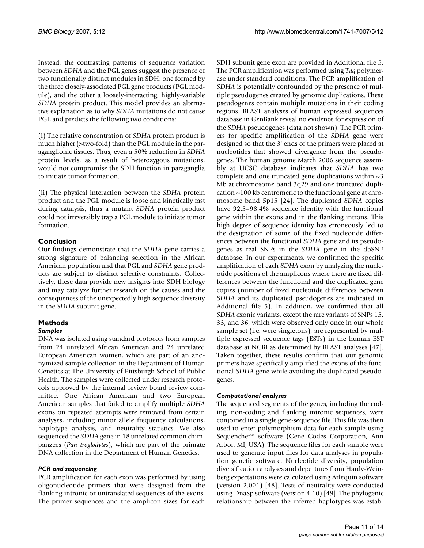Instead, the contrasting patterns of sequence variation between *SDHA* and the PGL genes suggest the presence of two functionally distinct modules in SDH: one formed by the three closely-associated PGL gene products (PGL module), and the other a loosely-interacting, highly-variable *SDHA* protein product. This model provides an alternative explanation as to why *SDHA* mutations do not cause PGL and predicts the following two conditions:

(i) The relative concentration of *SDHA* protein product is much higher (>two-fold) than the PGL module in the paraganglionic tissues. Thus, even a 50% reduction in *SDHA* protein levels, as a result of heterozygous mutations, would not compromise the SDH function in paraganglia to initiate tumor formation.

(ii) The physical interaction between the *SDHA* protein product and the PGL module is loose and kinetically fast during catalysis, thus a mutant *SDHA* protein product could not irreversibly trap a PGL module to initiate tumor formation.

# **Conclusion**

Our findings demonstrate that the *SDHA* gene carries a strong signature of balancing selection in the African American population and that PGL and *SDHA* gene products are subject to distinct selective constraints. Collectively, these data provide new insights into SDH biology and may catalyze further research on the causes and the consequences of the unexpectedly high sequence diversity in the *SDHA* subunit gene.

# **Methods**

# *Samples*

DNA was isolated using standard protocols from samples from 24 unrelated African American and 24 unrelated European American women, which are part of an anonymized sample collection in the Department of Human Genetics at The University of Pittsburgh School of Public Health. The samples were collected under research protocols approved by the internal review board review committee. One African American and two European American samples that failed to amplify multiple *SDHA* exons on repeated attempts were removed from certain analyses, including minor allele frequency calculations, haplotype analysis, and neutrality statistics. We also sequenced the *SDHA* gene in 18 unrelated common chimpanzees (*Pan troglodytes*), which are part of the primate DNA collection in the Department of Human Genetics.

# *PCR and sequencing*

PCR amplification for each exon was performed by using oligonucleotide primers that were designed from the flanking intronic or untranslated sequences of the exons. The primer sequences and the amplicon sizes for each

SDH subunit gene exon are provided in Additional file 5. The PCR amplification was performed using *Taq* polymerase under standard conditions. The PCR amplification of *SDHA* is potentially confounded by the presence of multiple pseudogenes created by genomic duplications. These pseudogenes contain multiple mutations in their coding regions. BLAST analyses of human expressed sequences database in GenBank reveal no evidence for expression of the *SDHA* pseudogenes (data not shown). The PCR primers for specific amplification of the *SDHA* gene were designed so that the 3' ends of the primers were placed at nucleotides that showed divergence from the pseudogenes. The human genome March 2006 sequence assembly at UCSC database indicates that *SDHA* has two complete and one truncated gene duplications within  $\sim$ 3 Mb at chromosome band 3q29 and one truncated duplication  $\sim$ 100 kb centromeric to the functional gene at chromosome band 5p15 [24]. The duplicated *SDHA* copies have 92.5–98.4% sequence identity with the functional gene within the exons and in the flanking introns. This high degree of sequence identity has erroneously led to the designation of some of the fixed nucleotide differences between the functional *SDHA* gene and its pseudogenes as real SNPs in the *SDHA* gene in the dbSNP database. In our experiments, we confirmed the specific amplification of each *SDHA* exon by analyzing the nucleotide positions of the amplicons where there are fixed differences between the functional and the duplicated gene copies (number of fixed nucleotide differences between *SDHA* and its duplicated pseudogenes are indicated in Additional file 5). In addition, we confirmed that all *SDHA* exonic variants, except the rare variants of SNPs 15, 33, and 36, which were observed only once in our whole sample set (i.e. were singletons), are represented by multiple expressed sequence tags (ESTs) in the human EST database at NCBI as determined by BLAST analyses [47]. Taken together, these results confirm that our genomic primers have specifically amplified the exons of the functional *SDHA* gene while avoiding the duplicated pseudogenes.

# *Computational analyses*

The sequenced segments of the genes, including the coding, non-coding and flanking intronic sequences, were conjoined in a single gene-sequence file. This file was then used to enter polymorphism data for each sample using Sequencher™ software (Gene Codes Corporation, Ann Arbor, MI, USA). The sequence files for each sample were used to generate input files for data analyses in population genetic software. Nucleotide diversity, population diversification analyses and departures from Hardy-Weinberg expectations were calculated using Arlequin software (version 2.001) [48]. Tests of neutrality were conducted using DnaSp software (version 4.10) [49]. The phylogenic relationship between the inferred haplotypes was estab-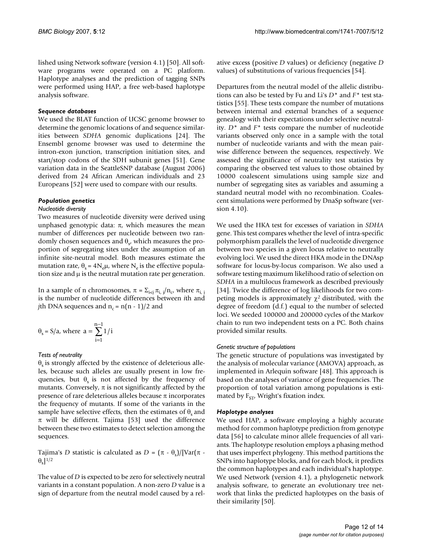lished using Network software (version 4.1) [50]. All software programs were operated on a PC platform. Haplotype analyses and the prediction of tagging SNPs were performed using HAP, a free web-based haplotype analysis software.

### *Sequence databases*

We used the BLAT function of UCSC genome browser to determine the genomic locations of and sequence similarities between *SDHA* genomic duplications [24]. The Ensembl genome browser was used to determine the intron-exon junction, transcription initiation sites, and start/stop codons of the SDH subunit genes [51]. Gene variation data in the SeattleSNP database (August 2006) derived from 24 African American individuals and 23 Europeans [52] were used to compare with our results.

## *Population genetics*

### *Nucleotide diversity*

Two measures of nucleotide diversity were derived using unphased genotypic data:  $π$ , which measures the mean number of differences per nucleotide between two randomly chosen sequences and  $\theta_{s}$ , which measures the proportion of segregating sites under the assumption of an infinite site-neutral model. Both measures estimate the mutation rate,  $\theta_s = 4N_e\mu$ , where N<sub>e</sub> is the effective population size and  $\mu$  is the neutral mutation rate per generation.

In a sample of n chromosomes,  $\pi = \sum_{i < j} \pi_{i,j}/n_c$ , where  $\pi_{i,j}$ is the number of nucleotide differences between *i*th and *j*th DNA sequences and  $n_c = n(n - 1)/2$  and

$$
\theta_s = S/a
$$
, where  $a = \sum_{i=1}^{n-1} 1/i$ 

## *Tests of neutrality*

 $\theta_{\rm s}$  is strongly affected by the existence of deleterious alleles, because such alleles are usually present in low frequencies, but  $\theta_s$  is not affected by the frequency of mutants. Conversely,  $\pi$  is not significantly affected by the presence of rare deleterious alleles because π incorporates the frequency of mutants. If some of the variants in the sample have selective effects, then the estimates of  $\theta_s$  and  $\pi$  will be different. Tajima [53] used the difference between these two estimates to detect selection among the sequences.

Tajima's *D* statistic is calculated as  $D = (\pi - \theta_s)/[Var(\pi \theta_{\rm e}$ ]<sup>1/2</sup>

The value of *D* is expected to be zero for selectively neutral variants in a constant population. A non-zero *D* value is a sign of departure from the neutral model caused by a relative excess (positive *D* values) or deficiency (negative *D* values) of substitutions of various frequencies [54].

Departures from the neutral model of the allelic distributions can also be tested by Fu and Li's *D\** and *F\** test statistics [55]. These tests compare the number of mutations between internal and external branches of a sequence genealogy with their expectations under selective neutrality. *D\** and *F\** tests compare the number of nucleotide variants observed only once in a sample with the total number of nucleotide variants and with the mean pairwise difference between the sequences, respectively. We assessed the significance of neutrality test statistics by comparing the observed test values to those obtained by 10000 coalescent simulations using sample size and number of segregating sites as variables and assuming a standard neutral model with no recombination. Coalescent simulations were performed by DnaSp software (version 4.10).

We used the HKA test for excesses of variation in *SDHA* gene. This test compares whether the level of intra-specific polymorphism parallels the level of nucleotide divergence between two species in a given locus relative to neutrally evolving loci. We used the direct HKA mode in the DNAsp software for locus-by-locus comparison. We also used a software testing maximum likelihood ratio of selection on *SDHA* in a multilocus framework as described previously [34]. Twice the difference of log likelihoods for two competing models is approximately  $\chi^2$  distributed, with the degree of freedom (d.f.) equal to the number of selected loci. We seeded 100000 and 200000 cycles of the Markov chain to run two independent tests on a PC. Both chains provided similar results.

## *Genetic structure of populations*

The genetic structure of populations was investigated by the analysis of molecular variance (AMOVA) approach, as implemented in Arlequin software [48]. This approach is based on the analyses of variance of gene frequencies. The proportion of total variation among populations is estimated by  $F_{ST}$ , Wright's fixation index.

### *Haplotype analyses*

We used HAP, a software employing a highly accurate method for common haplotype prediction from genotype data [56] to calculate minor allele frequencies of all variants. The haplotype resolution employs a phasing method that uses imperfect phylogeny. This method partitions the SNPs into haplotype blocks, and for each block, it predicts the common haplotypes and each individual's haplotype. We used Network (version 4.1), a phylogenetic network analysis software, to generate an evolutionary tree network that links the predicted haplotypes on the basis of their similarity [50].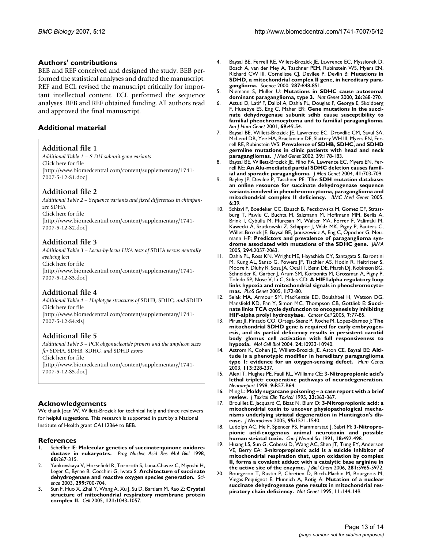## **Authors' contributions**

BEB and REF conceived and designed the study. BEB performed the statistical analyses and drafted the manuscript. REF and ECL revised the manuscript critically for important intellectual content. ECL performed the sequence analyses. BEB and REF obtained funding. All authors read and approved the final manuscript.

# **Additional material**

## **Additional file 1**

*Additional Table 1 – S DH subunit gene variants* Click here for file [\[http://www.biomedcentral.com/content/supplementary/1741-](http://www.biomedcentral.com/content/supplementary/1741-7007-5-12-S1.doc) 7007-5-12-S1.doc]

# **Additional file 2**

*Additional Table 2 – Sequence variants and fixed differences in chimpanzee* SDHA Click here for file [\[http://www.biomedcentral.com/content/supplementary/1741-](http://www.biomedcentral.com/content/supplementary/1741-7007-5-12-S2.doc) 7007-5-12-S2.doc]

# **Additional file 3**

*Additional Table 3 – Locus-by-locus HKA tests of* SDHA *versus neutrally evolving loci* Click here for file [\[http://www.biomedcentral.com/content/supplementary/1741-](http://www.biomedcentral.com/content/supplementary/1741-7007-5-12-S3.doc) 7007-5-12-S3.doc]

# **Additional file 4**

*Additional Table 4 – Haplotype structures of* SDHB*,* SDHC*, and* SDHD Click here for file [\[http://www.biomedcentral.com/content/supplementary/1741-](http://www.biomedcentral.com/content/supplementary/1741-7007-5-12-S4.xls) 7007-5-12-S4.xls]

# **Additional file 5**

*Additional Table 5 – PCR oligonucleotide primers and the amplicon sizes for* SDHA, SDHB, SDHC*, and* SDHD *exons* Click here for file [\[http://www.biomedcentral.com/content/supplementary/1741-](http://www.biomedcentral.com/content/supplementary/1741-7007-5-12-S5.doc) 7007-5-12-S5.doc]

## **Acknowledgements**

We thank Joan W. Willett-Brozick for technical help and three reviewers for helpful suggestions. This research is supported in part by a National Institute of Health grant CA112364 to BEB.

## **References**

- 1. Scheffler IE: **[Molecular genetics of succinate:quinone oxidore](http://www.ncbi.nlm.nih.gov/entrez/query.fcgi?cmd=Retrieve&db=PubMed&dopt=Abstract&list_uids=9594577)[ductase in eukaryotes.](http://www.ncbi.nlm.nih.gov/entrez/query.fcgi?cmd=Retrieve&db=PubMed&dopt=Abstract&list_uids=9594577)** *Prog Nucleic Acid Res Mol Biol* 1998, **60:**267-315.
- 2. Yankovskaya V, Horsefield R, Tornroth S, Luna-Chavez C, Miyoshi H, Leger C, Byrne B, Cecchini G, Iwata S: **[Architecture of succinate](http://www.ncbi.nlm.nih.gov/entrez/query.fcgi?cmd=Retrieve&db=PubMed&dopt=Abstract&list_uids=12560550) [dehydrogenase and reactive oxygen species generation.](http://www.ncbi.nlm.nih.gov/entrez/query.fcgi?cmd=Retrieve&db=PubMed&dopt=Abstract&list_uids=12560550)** *Science* 2003, **299:**700-704.
- 3. Sun F, Huo X, Zhai Y, Wang A, Xu J, Su D, Bartlam M, Rao Z: **[Crystal](http://www.ncbi.nlm.nih.gov/entrez/query.fcgi?cmd=Retrieve&db=PubMed&dopt=Abstract&list_uids=15989954) [structure of mitochondrial respiratory membrane protein](http://www.ncbi.nlm.nih.gov/entrez/query.fcgi?cmd=Retrieve&db=PubMed&dopt=Abstract&list_uids=15989954) [complex II.](http://www.ncbi.nlm.nih.gov/entrez/query.fcgi?cmd=Retrieve&db=PubMed&dopt=Abstract&list_uids=15989954)** *Cell* 2005, **121:**1043-1057.
- 4. Baysal BE, Ferrell RE, Wilett-Brozick JE, Lawrence EC, Myssiorek D, Bosch A, van der Mey A, Taschner PEM, Rubinstein WS, Myers EN, Richard CW III, Cornelisse CJ, Devilee P, Devlin B: **[Mutations in](http://www.ncbi.nlm.nih.gov/entrez/query.fcgi?cmd=Retrieve&db=PubMed&dopt=Abstract&list_uids=10657297) [SDHD, a mitochondrial complex II gene, in hereditary para](http://www.ncbi.nlm.nih.gov/entrez/query.fcgi?cmd=Retrieve&db=PubMed&dopt=Abstract&list_uids=10657297)[ganglioma.](http://www.ncbi.nlm.nih.gov/entrez/query.fcgi?cmd=Retrieve&db=PubMed&dopt=Abstract&list_uids=10657297)** *Science* 2000, **287:**848-851.
- 5. Niemann S, Muller U: **[Mutations in SDHC cause autosomal](http://www.ncbi.nlm.nih.gov/entrez/query.fcgi?cmd=Retrieve&db=PubMed&dopt=Abstract&list_uids=11062460) [dominant paraganglioma, type 3.](http://www.ncbi.nlm.nih.gov/entrez/query.fcgi?cmd=Retrieve&db=PubMed&dopt=Abstract&list_uids=11062460)** *Nat Genet* 2000, **26:**268-270.
- 6. Astuti D, Latif F, Dallol A, Dahia PL, Douglas F, George E, Skoldberg F, Husebye ES, Eng C, Maher ER: **[Gene mutations in the succi](http://www.ncbi.nlm.nih.gov/entrez/query.fcgi?cmd=Retrieve&db=PubMed&dopt=Abstract&list_uids=11404820)[nate dehydrogenase subunit sdhb cause susceptibility to](http://www.ncbi.nlm.nih.gov/entrez/query.fcgi?cmd=Retrieve&db=PubMed&dopt=Abstract&list_uids=11404820) familial pheochromocytoma and to familial paraganglioma.** *Am J Hum Genet* 2001, **69:**49-54.
- 7. Baysal BE, Willett-Brozick JE, Lawrence EC, Drovdlic CM, Savul SA, McLeod DR, Yee HA, Brackmann DE, Slattery WH III, Myers EN, Ferrell RE, Rubinstein WS: **[Prevalence of SDHB, SDHC, and SDHD](http://www.ncbi.nlm.nih.gov/entrez/query.fcgi?cmd=Retrieve&db=PubMed&dopt=Abstract&list_uids=11897817) [germline mutations in clinic patients with head and neck](http://www.ncbi.nlm.nih.gov/entrez/query.fcgi?cmd=Retrieve&db=PubMed&dopt=Abstract&list_uids=11897817) [paragangliomas.](http://www.ncbi.nlm.nih.gov/entrez/query.fcgi?cmd=Retrieve&db=PubMed&dopt=Abstract&list_uids=11897817)** *J Med Genet* 2002, **39:**178-183.
- 8. Baysal BE, Willett-Brozick JE, Filho PA, Lawrence EC, Myers EN, Ferrell RE: **[An Alu-mediated partial SDHC deletion causes famil](http://www.ncbi.nlm.nih.gov/entrez/query.fcgi?cmd=Retrieve&db=PubMed&dopt=Abstract&list_uids=15342702)[ial and sporadic paraganglioma.](http://www.ncbi.nlm.nih.gov/entrez/query.fcgi?cmd=Retrieve&db=PubMed&dopt=Abstract&list_uids=15342702)** *J Med Genet* 2004, **41:**703-709.
- 9. Bayley JP, Devilee P, Taschner PE: **[The SDH mutation database:](http://www.ncbi.nlm.nih.gov/entrez/query.fcgi?cmd=Retrieve&db=PubMed&dopt=Abstract&list_uids=16288654) [an online resource for succinate dehydrogenase sequence](http://www.ncbi.nlm.nih.gov/entrez/query.fcgi?cmd=Retrieve&db=PubMed&dopt=Abstract&list_uids=16288654) variants involved in pheochromocytoma, paraganglioma and [mitochondrial complex II deficiency.](http://www.ncbi.nlm.nih.gov/entrez/query.fcgi?cmd=Retrieve&db=PubMed&dopt=Abstract&list_uids=16288654)** *BMC Med Genet* 2005, **6:**39.
- 10. Schiavi F, Boedeker CC, Bausch B, Peczkowska M, Gomez CF, Strassburg T, Pawlu C, Buchta M, Salzmann M, Hoffmann MM, Berlis A, Brink I, Cybulla M, Muresan M, Walter MA, Forrer F, Valimaki M, Kawecki A, Szutkowski Z, Schipper J, Walz MK, Pigny P, Bauters C, Willet-Brozick JE, Baysal BE, Januszewicz A, Eng C, Opocher G, Neumann HP: **[Predictors and prevalence of paraganglioma syn](http://www.ncbi.nlm.nih.gov/entrez/query.fcgi?cmd=Retrieve&db=PubMed&dopt=Abstract&list_uids=16249420)[drome associated with mutations of the SDHC gene.](http://www.ncbi.nlm.nih.gov/entrez/query.fcgi?cmd=Retrieve&db=PubMed&dopt=Abstract&list_uids=16249420)** *JAMA* 2005, **294:**2057-2063.
- 11. Dahia PL, Ross KN, Wright ME, Hayashida CY, Santagata S, Barontini M, Kung AL, Sanso G, Powers JF, Tischler AS, Hodin R, Heitritter S, Moore F, Dluhy R, Sosa JA, Ocal IT, Benn DE, Marsh DJ, Robinson BG, Schneider K, Garber J, Arum SM, Korbonits M, Grossman A, Pigny P, Toledo SP, Nose V, Li C, Stiles CD: **[A HIF1alpha regulatory loop](http://www.ncbi.nlm.nih.gov/entrez/query.fcgi?cmd=Retrieve&db=PubMed&dopt=Abstract&list_uids=16103922) [links hypoxia and mitochondrial signals in pheochromocyto](http://www.ncbi.nlm.nih.gov/entrez/query.fcgi?cmd=Retrieve&db=PubMed&dopt=Abstract&list_uids=16103922)[mas.](http://www.ncbi.nlm.nih.gov/entrez/query.fcgi?cmd=Retrieve&db=PubMed&dopt=Abstract&list_uids=16103922)** *PLoS Genet* 2005, **1:**72-80.
- Selak MA, Armour SM, MacKenzie ED, Boulahbel H, Watson DG, Mansfield KD, Pan Y, Simon MC, Thompson CB, Gottlieb E: **[Succi](http://www.ncbi.nlm.nih.gov/entrez/query.fcgi?cmd=Retrieve&db=PubMed&dopt=Abstract&list_uids=15652751)[nate links TCA cycle dysfunction to oncogenesis by inhibiting](http://www.ncbi.nlm.nih.gov/entrez/query.fcgi?cmd=Retrieve&db=PubMed&dopt=Abstract&list_uids=15652751) [HIF-alpha prolyl hydroxylase.](http://www.ncbi.nlm.nih.gov/entrez/query.fcgi?cmd=Retrieve&db=PubMed&dopt=Abstract&list_uids=15652751)** *Cancer Cell* 2005, **7:**77-85.
- 13. Piruat JI, Pintado CO, Ortega-Saenz P, Roche M, Lopez-Barneo J: **[The](http://www.ncbi.nlm.nih.gov/entrez/query.fcgi?cmd=Retrieve&db=PubMed&dopt=Abstract&list_uids=15572694) [mitochondrial SDHD gene is required for early embryogen](http://www.ncbi.nlm.nih.gov/entrez/query.fcgi?cmd=Retrieve&db=PubMed&dopt=Abstract&list_uids=15572694)esis, and its partial deficiency results in persistent carotid body glomus cell activation with full responsiveness to [hypoxia.](http://www.ncbi.nlm.nih.gov/entrez/query.fcgi?cmd=Retrieve&db=PubMed&dopt=Abstract&list_uids=15572694)** *Mol Cell Biol* 2004, **24:**10933-10940.
- 14. Astrom K, Cohen JE, Willett-Brozick JE, Aston CE, Baysal BE: **[Alti](http://www.ncbi.nlm.nih.gov/entrez/query.fcgi?cmd=Retrieve&db=PubMed&dopt=Abstract&list_uids=12811540)[tude is a phenotypic modifier in hereditary paraganglioma](http://www.ncbi.nlm.nih.gov/entrez/query.fcgi?cmd=Retrieve&db=PubMed&dopt=Abstract&list_uids=12811540) [type 1: evidence for an oxygen-sensing defect.](http://www.ncbi.nlm.nih.gov/entrez/query.fcgi?cmd=Retrieve&db=PubMed&dopt=Abstract&list_uids=12811540)** *Hum Genet* 2003, **113:**228-237.
- 15. Alexi T, Hughes PE, Faull RL, Williams CE: **[3-Nitropropionic acid's](http://www.ncbi.nlm.nih.gov/entrez/query.fcgi?cmd=Retrieve&db=PubMed&dopt=Abstract&list_uids=9721909) [lethal triplet: cooperative pathways of neurodegeneration.](http://www.ncbi.nlm.nih.gov/entrez/query.fcgi?cmd=Retrieve&db=PubMed&dopt=Abstract&list_uids=9721909)** *Neuroreport* 1998, **9:**R57-R64.
- 16. Ming L: **[Moldy sugarcane poisoning a case report with a brief](http://www.ncbi.nlm.nih.gov/entrez/query.fcgi?cmd=Retrieve&db=PubMed&dopt=Abstract&list_uids=7629905) [review.](http://www.ncbi.nlm.nih.gov/entrez/query.fcgi?cmd=Retrieve&db=PubMed&dopt=Abstract&list_uids=7629905)** *J Toxicol Clin Toxicol* 1995, **33:**363-367.
- 17. Brouillet E, Jacquard C, Bizat N, Blum D: **[3-Nitropropionic acid: a](http://www.ncbi.nlm.nih.gov/entrez/query.fcgi?cmd=Retrieve&db=PubMed&dopt=Abstract&list_uids=16300642) [mitochondrial toxin to uncover physiopathological mecha](http://www.ncbi.nlm.nih.gov/entrez/query.fcgi?cmd=Retrieve&db=PubMed&dopt=Abstract&list_uids=16300642)nisms underlying striatal degeneration in Huntington's dis[ease.](http://www.ncbi.nlm.nih.gov/entrez/query.fcgi?cmd=Retrieve&db=PubMed&dopt=Abstract&list_uids=16300642)** *J Neurochem* 2005, **95:**1521-1540.
- 18. Ludolph AC, He F, Spencer PS, Hammerstad J, Sabri M: **[3-Nitropro](http://www.ncbi.nlm.nih.gov/entrez/query.fcgi?cmd=Retrieve&db=PubMed&dopt=Abstract&list_uids=1782616)[pionic acid-exogenous animal neurotoxin and possible](http://www.ncbi.nlm.nih.gov/entrez/query.fcgi?cmd=Retrieve&db=PubMed&dopt=Abstract&list_uids=1782616) [human striatal toxin.](http://www.ncbi.nlm.nih.gov/entrez/query.fcgi?cmd=Retrieve&db=PubMed&dopt=Abstract&list_uids=1782616)** *Can J Neurol Sci* 1991, **18:**492-498.
- 19. Huang LS, Sun G, Cobessi D, Wang AC, Shen JT, Tung EY, Anderson VE, Berry EA: **[3-nitropropionic acid is a suicide inhibitor of](http://www.ncbi.nlm.nih.gov/entrez/query.fcgi?cmd=Retrieve&db=PubMed&dopt=Abstract&list_uids=16371358) [mitochondrial respiration that, upon oxidation by complex](http://www.ncbi.nlm.nih.gov/entrez/query.fcgi?cmd=Retrieve&db=PubMed&dopt=Abstract&list_uids=16371358) II, forms a covalent adduct with a catalytic base arginine in [the active site of the enzyme.](http://www.ncbi.nlm.nih.gov/entrez/query.fcgi?cmd=Retrieve&db=PubMed&dopt=Abstract&list_uids=16371358)** *J Biol Chem* 2006, **281:**5965-5972.
- 20. Bourgeron T, Rustin P, Chretien D, Birch-Machin M, Bourgeois M, Viegas-Pequignot E, Munnich A, Rotig A: **[Mutation of a nuclear](http://www.ncbi.nlm.nih.gov/entrez/query.fcgi?cmd=Retrieve&db=PubMed&dopt=Abstract&list_uids=7550341) [succinate dehydrogenase gene results in mitochondrial res](http://www.ncbi.nlm.nih.gov/entrez/query.fcgi?cmd=Retrieve&db=PubMed&dopt=Abstract&list_uids=7550341)[piratory chain deficiency.](http://www.ncbi.nlm.nih.gov/entrez/query.fcgi?cmd=Retrieve&db=PubMed&dopt=Abstract&list_uids=7550341)** *Nat Genet* 1995, **11:**144-149.